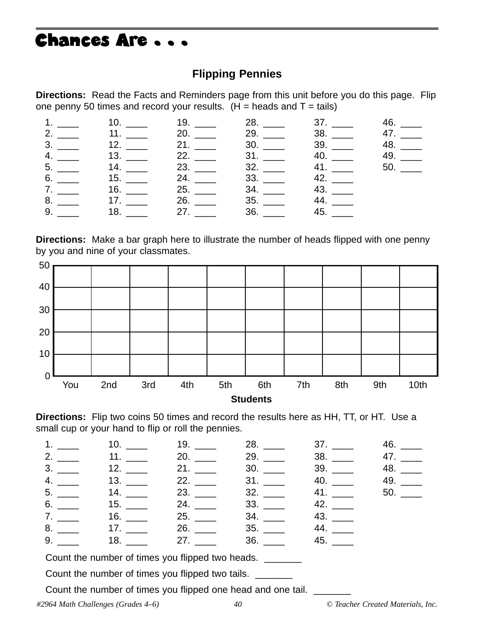## Chances Are . . .

#### **Flipping Pennies**

**Directions:** Read the Facts and Reminders page from this unit before you do this page. Flip one penny 50 times and record your results.  $(H =$  heads and T = tails)

|  | 1. _____ 10. ____ 19. ____ 28. ___ 37. ___ 46. ___                                             |  |  |
|--|------------------------------------------------------------------------------------------------|--|--|
|  |                                                                                                |  |  |
|  | $3.$ 12. $\frac{1}{2}$ 21. $\frac{1}{2}$ 30. $\frac{1}{2}$ 39. $\frac{1}{2}$ 48. $\frac{1}{2}$ |  |  |
|  | 4. _____ 13. ____ 22. ____ 31. ___ 40. ___ 49. ___                                             |  |  |
|  | $5.$ 14. $23.$ 32. $41.$ 50.                                                                   |  |  |
|  | $6.$ 15. $24.$ 33. $42.$                                                                       |  |  |
|  | $7.$ 43. $16.$ 25. $25.$ 34. $43.$                                                             |  |  |
|  | $8.$ 44. $\_\_\_\_\_\_$ 17. $\_\_\_\_\_$ 26. $\_\_\_\_\_$ 35. $\_\_\_\_$ 44. $\_\_\_\_\_\$     |  |  |
|  | $9.$ 18. $27.$ 36. $45.$                                                                       |  |  |

**Directions:** Make a bar graph here to illustrate the number of heads flipped with one penny by you and nine of your classmates.



**Directions:** Flip two coins 50 times and record the results here as HH, TT, or HT. Use a small cup or your hand to flip or roll the pennies.

|  |                                    | $1.$ _____   10. _____   19. _____   28. _____   37. _____   46. _____ |  |
|--|------------------------------------|------------------------------------------------------------------------|--|
|  |                                    | 2. _____   11. _____   20. _____   29. _____   38. _____  47. _____    |  |
|  |                                    | $3.$ 48. $\_\_$ 12. $\_\_$ 21. $\_\_$ 30. $\_\_$ 39. $\_\_$ 48. $\_\_$ |  |
|  |                                    | 4. _____ 13. ____ 22. ____ 31. ____ 40. ___ 49. ___                    |  |
|  |                                    | $5.$ 24. 23. 23. 32. 41. 50.                                           |  |
|  | $6.$ 15. $24.$ 33. $42.$           |                                                                        |  |
|  | $7.$ 25. 34. 43.                   |                                                                        |  |
|  | $8.$ 44. $17.$ 26. $26.$ 35. $44.$ |                                                                        |  |
|  | $9.$ 45. $18.$ 27. $27.$ 36. $45.$ |                                                                        |  |

Count the number of times you flipped two heads.

Count the number of times you flipped two tails. \_\_\_\_\_\_\_

Count the number of times you flipped one head and one tail. \_\_\_\_\_\_\_

*#2964 Math Challenges (Grades 4–6) 40 © Teacher Created Materials, Inc.*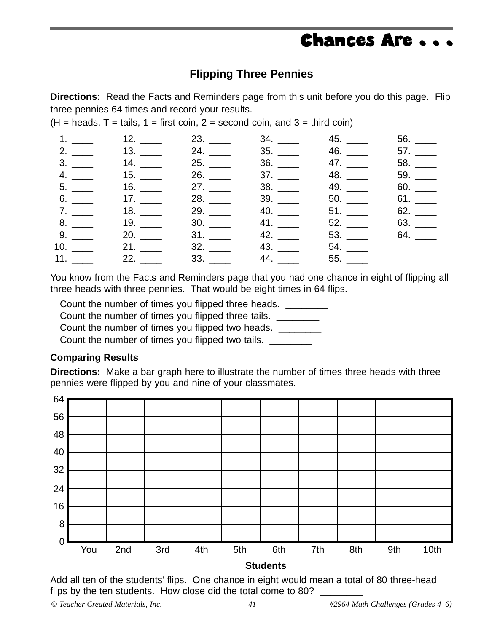### Chances Are . . .

#### **Flipping Three Pennies**

**Directions:** Read the Facts and Reminders page from this unit before you do this page. Flip three pennies 64 times and record your results.

 $(H = heads, T = tails, 1 = first coin, 2 = second coin, and 3 = third coin)$ 

|  |  | 1. _____ 12. ____ 23. ____ 34. ___ 45. ___ 56. ___ |            |
|--|--|----------------------------------------------------|------------|
|  |  |                                                    |            |
|  |  | $3.$ 47. 58.                                       |            |
|  |  | 4. _____ 15. ____ 26. ____ 37. ___ 48. ___ 59. ___ |            |
|  |  | $5.$ 16. 16. 27. 38. 49. 5. 60.                    |            |
|  |  | $6.$ 17. 28. 39. 50. 50. 61.                       |            |
|  |  | $7.$ 18. 29. 40. 51. 51. 62.                       |            |
|  |  | 8. _____ 19. ____ 30. ____ 41. ____ 52. ___        | 63. $\_\_$ |
|  |  | $9.$ 20. 20. 31. 42. 53. 53. 64.                   |            |
|  |  | 10. _____ 21. ____ 32. ___ 43. ___ 54. ___         |            |
|  |  |                                                    |            |

You know from the Facts and Reminders page that you had one chance in eight of flipping all three heads with three pennies. That would be eight times in 64 flips.

Count the number of times you flipped three heads.  $\Box$ 

Count the number of times you flipped three tails.

Count the number of times you flipped two heads.

Count the number of times you flipped two tails.

#### **Comparing Results**

**Directions:** Make a bar graph here to illustrate the number of times three heads with three pennies were flipped by you and nine of your classmates.



Add all ten of the students' flips. One chance in eight would mean a total of 80 three-head flips by the ten students. How close did the total come to 80?